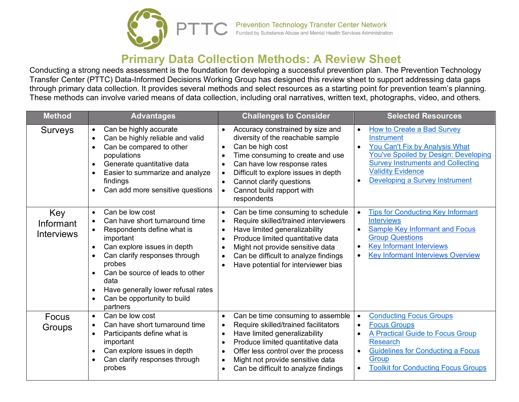

## **Primary Data Collection Methods: A Review Sheet**

Conducting a strong needs assessment is the foundation for developing a successful prevention plan. The Prevention Technology Transfer Center (PTTC) Data-Informed Decisions Working Group has designed this review sheet to support addressing data gaps through primary data collection. It provides several methods and select resources as a starting point for prevention team's planning. These methods can involve varied means of data collection, including oral narratives, written text, photographs, video, and others.

| <b>Method</b>                                | <b>Advantages</b>                                                                                                                                                                                                                                                                                                                                                                     | <b>Challenges to Consider</b>                                                                                                                                                                                                                                                                                                                                 | <b>Selected Resources</b>                                                                                                                                                                                                                                                                |
|----------------------------------------------|---------------------------------------------------------------------------------------------------------------------------------------------------------------------------------------------------------------------------------------------------------------------------------------------------------------------------------------------------------------------------------------|---------------------------------------------------------------------------------------------------------------------------------------------------------------------------------------------------------------------------------------------------------------------------------------------------------------------------------------------------------------|------------------------------------------------------------------------------------------------------------------------------------------------------------------------------------------------------------------------------------------------------------------------------------------|
| <b>Surveys</b>                               | Can be highly accurate<br>$\bullet$<br>Can be highly reliable and valid<br>$\bullet$<br>Can be compared to other<br>populations<br>Generate quantitative data<br>$\bullet$<br>Easier to summarize and analyze<br>$\bullet$<br>findings<br>Can add more sensitive questions                                                                                                            | Accuracy constrained by size and<br>$\bullet$<br>diversity of the reachable sample<br>Can be high cost<br>$\bullet$<br>Time consuming to create and use<br>$\bullet$<br>Can have low response rates<br>Difficult to explore issues in depth<br>$\bullet$<br>Cannot clarify questions<br>Cannot build rapport with<br>$\bullet$<br>respondents                 | <b>How to Create a Bad Survey</b><br>$\bullet$<br><b>Instrument</b><br>You Can't Fix by Analysis What<br>$\bullet$<br>You've Spoiled by Design: Developing<br><b>Survey Instruments and Collecting</b><br><b>Validity Evidence</b><br><b>Developing a Survey Instrument</b><br>$\bullet$ |
| Key<br><b>Informant</b><br><b>Interviews</b> | Can be low cost<br>$\bullet$<br>Can have short turnaround time<br>$\bullet$<br>Respondents define what is<br>$\bullet$<br>important<br>Can explore issues in depth<br>$\bullet$<br>Can clarify responses through<br>probes<br>Can be source of leads to other<br>$\bullet$<br>data<br>Have generally lower refusal rates<br>٠<br>Can be opportunity to build<br>$\bullet$<br>partners | Can be time consuming to schedule<br>$\bullet$<br>Require skilled/trained interviewers<br>Have limited generalizability<br>$\bullet$<br>Produce limited quantitative data<br>$\bullet$<br>Might not provide sensitive data<br>$\bullet$<br>Can be difficult to analyze findings<br>$\bullet$<br>Have potential for interviewer bias<br>$\bullet$              | <b>Tips for Conducting Key Informant</b><br>$\bullet$<br><b>Interviews</b><br><b>Sample Key Informant and Focus</b><br><b>Group Questions</b><br><b>Key Informant Interviews</b><br><b>Key Informant Interviews Overview</b><br>$\bullet$                                                |
| Focus<br>Groups                              | Can be low cost<br>$\bullet$<br>Can have short turnaround time<br>$\bullet$<br>Participants define what is<br>$\bullet$<br>important<br>Can explore issues in depth<br>$\bullet$<br>Can clarify responses through<br>$\bullet$<br>probes                                                                                                                                              | Can be time consuming to assemble<br>$\bullet$<br>Require skilled/trained facilitators<br>$\bullet$<br>Have limited generalizability<br>$\bullet$<br>Produce limited quantitative data<br>$\bullet$<br>Offer less control over the process<br>$\bullet$<br>Might not provide sensitive data<br>$\bullet$<br>Can be difficult to analyze findings<br>$\bullet$ | <b>Conducting Focus Groups</b><br>$\bullet$<br><b>Focus Groups</b><br>$\bullet$<br>A Practical Guide to Focus Group<br><b>Research</b><br><b>Guidelines for Conducting a Focus</b><br>Group<br><b>Toolkit for Conducting Focus Groups</b>                                                |